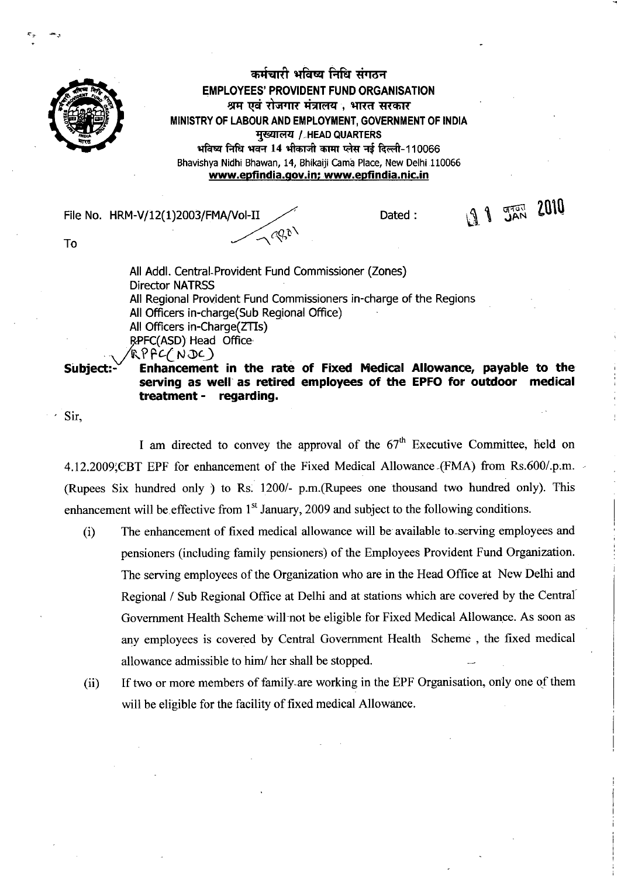

 $\tau_{\tau^-}$ 

कर्मचारी भविष्य निधि संगठन **EMPLOYEES' PROVIDENT FUND ORGANISATION**  श्रम एवं रोजगार मंत्रालय , भारत सरकार MINISTRY OF LABOUR AND EMPLOYMENT, GOVERNMENT OF INDIA **मुख्यालय / HEAD QUARTERS** seam fqfa Iraq 14 ift-r-41 **WAT 1A1T** it-A-110066 Bhavishya Nidhi Bhawan, 14, Bhikaiji Cama Place, New Delhi 110066 www.epfindia.gov.in; www.epfindia.nic.in

File No. HRM-V/12(1)2003/FMA/Vol-II Dated :  $\mathbb{R}^2$  Dated :  $\mathbb{R}^2$  Dated :  $\mathbb{R}^2$  $\sqrt{2\theta}$ 

To

All Addl. Central-Provident Fund Commissioner (Zones) Director NATRSS All Regional Provident Fund Commissioners in-charge of the Regions All Officers in-charge(Sub Regional Office) All Officers in-Charge(ZTIs) RPFC(ASD) Head Office  $R$ PFC(NDC)

Siubject:- **Enhancement in the rate of Fixed Medical Allowance, payable to the serving as well as retired employees of the EPFO for outdoor medical treatment - regarding.** 

Sir,

I am directed to convey the approval of the  $67<sup>th</sup>$  Executive Committee, held on 4.12.2009;CBT EPF for enhancement of the Fixed Medical Allowance (FMA) from Rs.600/.p.m. (Rupees Six hundred only ) to Rs. 1200/- p.m.(Rupees one thousand two hundred only). This enhancement will be effective from  $1<sup>st</sup>$  January, 2009 and subject to the following conditions.

- (i) The enhancement of fixed medical allowance will be available to\_serving employees and pensioners (including family pensioners) of the Employees Provident Fund Organization. The serving employees of the Organization who are in the Head Office at New Delhi and Regional / Sub Regional Office at Delhi and at stations which are covered by the Central Government Health Scheme will not be eligible for Fixed Medical Allowance. As soon as any employees is covered by Central Government Health Scheme , the fixed medical allowance admissible to him/ her shall be stopped.
- (ii) If two or more members of family-are working in the EPF Organisation, only one of them will be eligible for the facility of fixed medical Allowance.